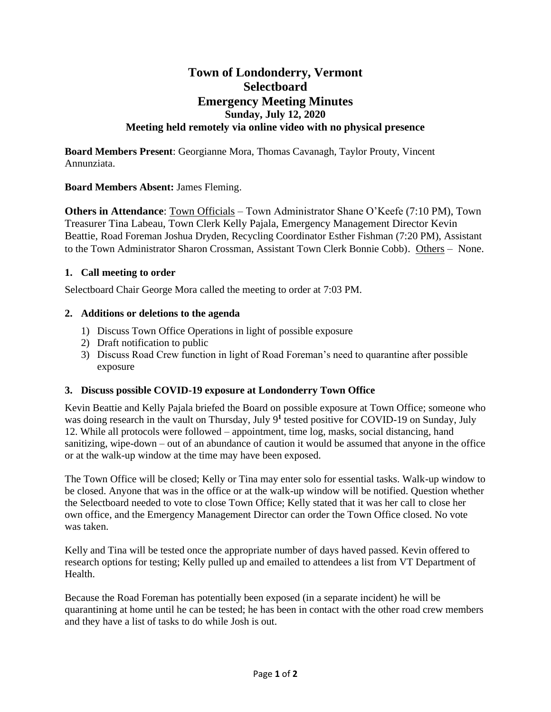# **Town of Londonderry, Vermont Selectboard Emergency Meeting Minutes Sunday, July 12, 2020 Meeting held remotely via online video with no physical presence**

**Board Members Present**: Georgianne Mora, Thomas Cavanagh, Taylor Prouty, Vincent Annunziata.

## **Board Members Absent:** James Fleming.

**Others in Attendance**: Town Officials – Town Administrator Shane O'Keefe (7:10 PM), Town Treasurer Tina Labeau, Town Clerk Kelly Pajala, Emergency Management Director Kevin Beattie, Road Foreman Joshua Dryden, Recycling Coordinator Esther Fishman (7:20 PM), Assistant to the Town Administrator Sharon Crossman, Assistant Town Clerk Bonnie Cobb). Others – None.

### **1. Call meeting to order**

Selectboard Chair George Mora called the meeting to order at 7:03 PM.

### **2. Additions or deletions to the agenda**

- 1) Discuss Town Office Operations in light of possible exposure
- 2) Draft notification to public
- 3) Discuss Road Crew function in light of Road Foreman's need to quarantine after possible exposure

### **3. Discuss possible COVID-19 exposure at Londonderry Town Office**

Kevin Beattie and Kelly Pajala briefed the Board on possible exposure at Town Office; someone who was doing research in the vault on Thursday, July 9<sup>1</sup> tested positive for COVID-19 on Sunday, July 12. While all protocols were followed – appointment, time log, masks, social distancing, hand sanitizing, wipe-down – out of an abundance of caution it would be assumed that anyone in the office or at the walk-up window at the time may have been exposed.

The Town Office will be closed; Kelly or Tina may enter solo for essential tasks. Walk-up window to be closed. Anyone that was in the office or at the walk-up window will be notified. Question whether the Selectboard needed to vote to close Town Office; Kelly stated that it was her call to close her own office, and the Emergency Management Director can order the Town Office closed. No vote was taken.

Kelly and Tina will be tested once the appropriate number of days haved passed. Kevin offered to research options for testing; Kelly pulled up and emailed to attendees a list from VT Department of Health.

Because the Road Foreman has potentially been exposed (in a separate incident) he will be quarantining at home until he can be tested; he has been in contact with the other road crew members and they have a list of tasks to do while Josh is out.